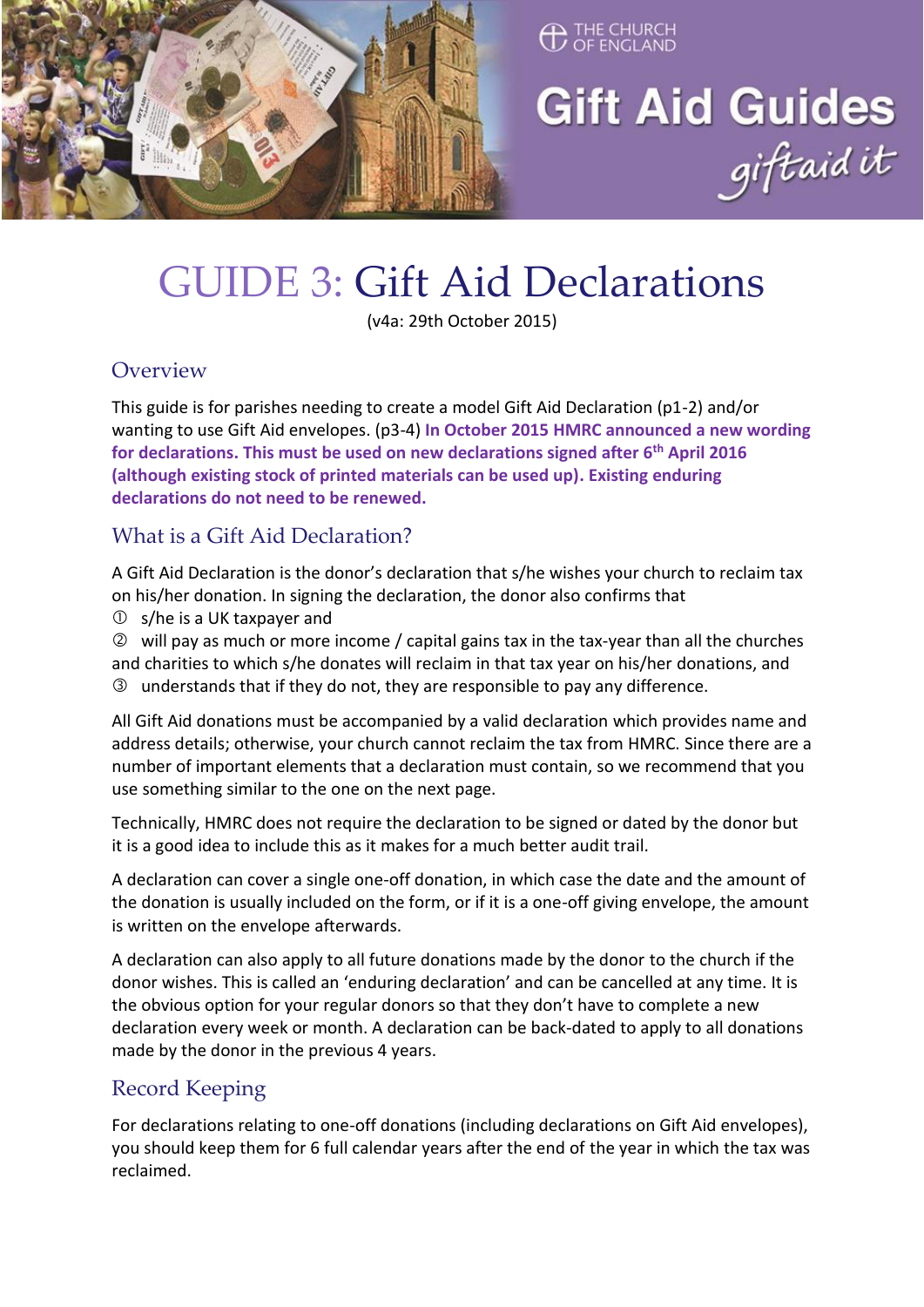

# THE CHURCH

Gift Aid Guides<br>giftaid it

# GUIDE 3: Gift Aid Declarations

(v4a: 29th October 2015)

#### **Overview**

This guide is for parishes needing to create a model Gift Aid Declaration (p1-2) and/or wanting to use Gift Aid envelopes. (p3-4) **In October 2015 HMRC announced a new wording for declarations. This must be used on new declarations signed after 6th April 2016 (although existing stock of printed materials can be used up). Existing enduring declarations do not need to be renewed.**

#### What is a Gift Aid Declaration?

A Gift Aid Declaration is the donor's declaration that s/he wishes your church to reclaim tax on his/her donation. In signing the declaration, the donor also confirms that

s/he is a UK taxpayer and

 will pay as much or more income / capital gains tax in the tax-year than all the churches and charities to which s/he donates will reclaim in that tax year on his/her donations, and understands that if they do not, they are responsible to pay any difference.

All Gift Aid donations must be accompanied by a valid declaration which provides name and address details; otherwise, your church cannot reclaim the tax from HMRC. Since there are a number of important elements that a declaration must contain, so we recommend that you use something similar to the one on the next page.

Technically, HMRC does not require the declaration to be signed or dated by the donor but it is a good idea to include this as it makes for a much better audit trail.

A declaration can cover a single one-off donation, in which case the date and the amount of the donation is usually included on the form, or if it is a one-off giving envelope, the amount is written on the envelope afterwards.

A declaration can also apply to all future donations made by the donor to the church if the donor wishes. This is called an 'enduring declaration' and can be cancelled at any time. It is the obvious option for your regular donors so that they don't have to complete a new declaration every week or month. A declaration can be back-dated to apply to all donations made by the donor in the previous 4 years.

### Record Keeping

For declarations relating to one-off donations (including declarations on Gift Aid envelopes), you should keep them for 6 full calendar years after the end of the year in which the tax was reclaimed.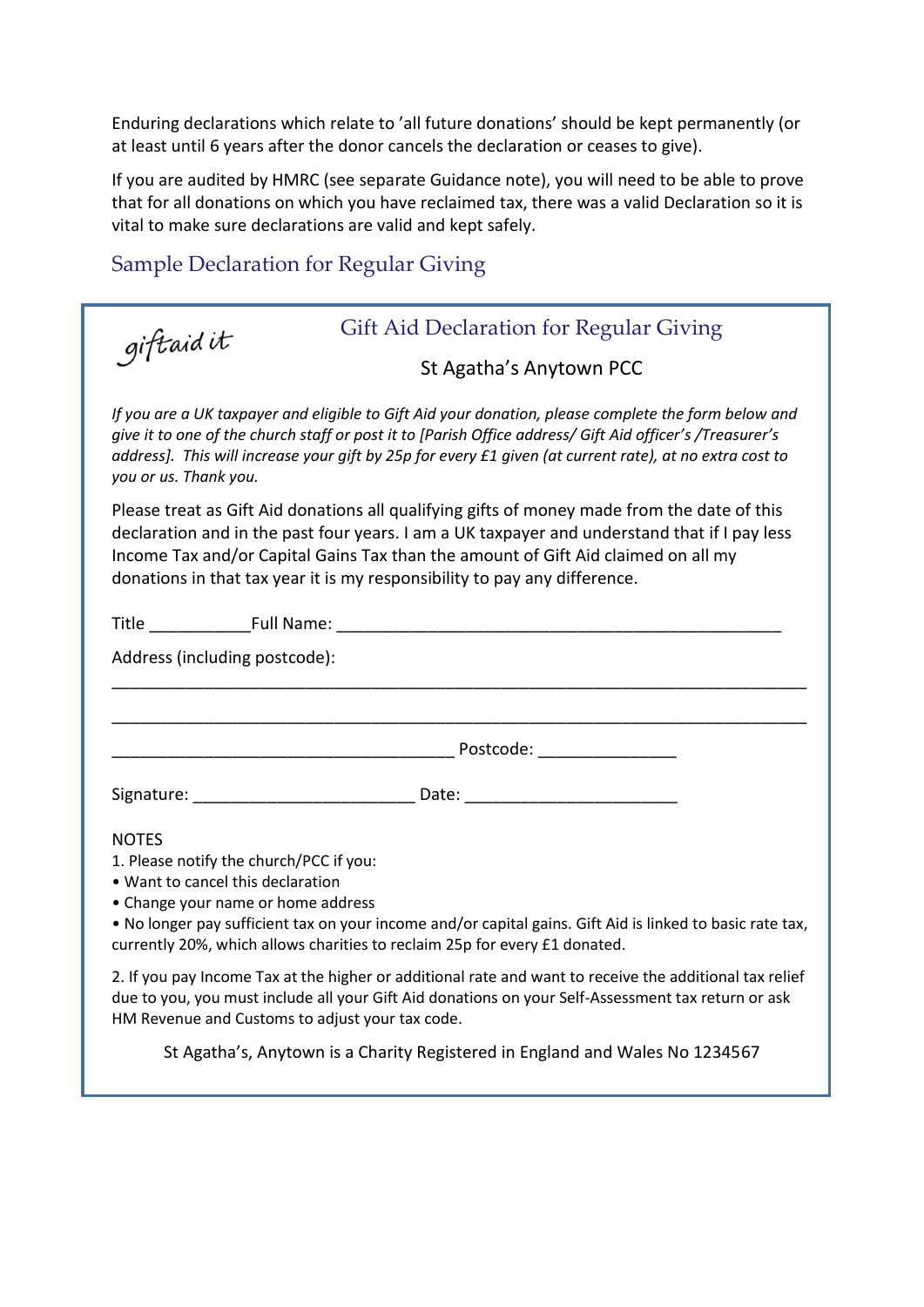Enduring declarations which relate to 'all future donations' should be kept permanently (or at least until 6 years after the donor cancels the declaration or ceases to give).

If you are audited by HMRC (see separate Guidance note), you will need to be able to prove that for all donations on which you have reclaimed tax, there was a valid Declaration so it is vital to make sure declarations are valid and kept safely.

#### Sample Declaration for Regular Giving

giftaidit

#### Gift Aid Declaration for Regular Giving

St Agatha's Anytown PCC

*If you are a UK taxpayer and eligible to Gift Aid your donation, please complete the form below and give it to one of the church staff or post it to [Parish Office address/ Gift Aid officer's /Treasurer's address]. This will increase your gift by 25p for every £1 given (at current rate), at no extra cost to you or us. Thank you.* 

Please treat as Gift Aid donations all qualifying gifts of money made from the date of this declaration and in the past four years. I am a UK taxpayer and understand that if I pay less Income Tax and/or Capital Gains Tax than the amount of Gift Aid claimed on all my donations in that tax year it is my responsibility to pay any difference.

| Address (including postcode):                                                                                                                                                                                                                                    |                                                                                                           |
|------------------------------------------------------------------------------------------------------------------------------------------------------------------------------------------------------------------------------------------------------------------|-----------------------------------------------------------------------------------------------------------|
|                                                                                                                                                                                                                                                                  |                                                                                                           |
|                                                                                                                                                                                                                                                                  |                                                                                                           |
| Signature: __________________________________ Date: ____________________________                                                                                                                                                                                 |                                                                                                           |
| <b>NOTES</b><br>1. Please notify the church/PCC if you:<br>• Want to cancel this declaration<br>• Change your name or home address<br>currently 20%, which allows charities to reclaim 25p for every £1 donated.                                                 | . No longer pay sufficient tax on your income and/or capital gains. Gift Aid is linked to basic rate tax, |
| 2. If you pay Income Tax at the higher or additional rate and want to receive the additional tax relief<br>due to you, you must include all your Gift Aid donations on your Self-Assessment tax return or ask<br>HM Revenue and Customs to adjust your tax code. |                                                                                                           |

St Agatha's, Anytown is a Charity Registered in England and Wales No 1234567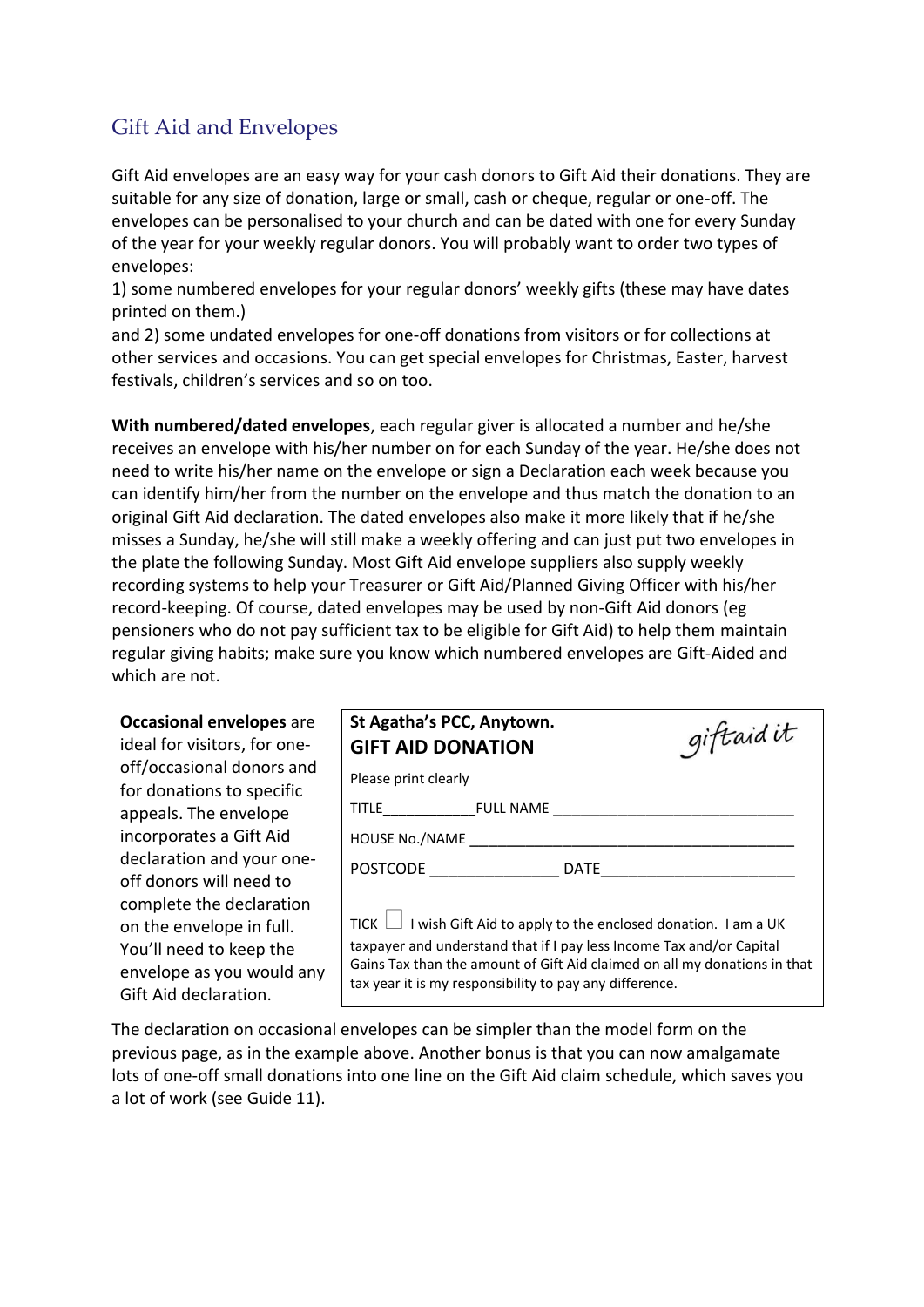#### Gift Aid and Envelopes

Gift Aid envelopes are an easy way for your cash donors to Gift Aid their donations. They are suitable for any size of donation, large or small, cash or cheque, regular or one-off. The envelopes can be personalised to your church and can be dated with one for every Sunday of the year for your weekly regular donors. You will probably want to order two types of envelopes:

1) some numbered envelopes for your regular donors' weekly gifts (these may have dates printed on them.)

and 2) some undated envelopes for one-off donations from visitors or for collections at other services and occasions. You can get special envelopes for Christmas, Easter, harvest festivals, children's services and so on too.

**With numbered/dated envelopes**, each regular giver is allocated a number and he/she receives an envelope with his/her number on for each Sunday of the year. He/she does not need to write his/her name on the envelope or sign a Declaration each week because you can identify him/her from the number on the envelope and thus match the donation to an original Gift Aid declaration. The dated envelopes also make it more likely that if he/she misses a Sunday, he/she will still make a weekly offering and can just put two envelopes in the plate the following Sunday. Most Gift Aid envelope suppliers also supply weekly recording systems to help your Treasurer or Gift Aid/Planned Giving Officer with his/her record-keeping. Of course, dated envelopes may be used by non-Gift Aid donors (eg pensioners who do not pay sufficient tax to be eligible for Gift Aid) to help them maintain regular giving habits; make sure you know which numbered envelopes are Gift-Aided and which are not.

| <b>Occasional envelopes are</b><br>ideal for visitors, for one-                                                                                                  | St Agatha's PCC, Anytown.<br>giftaid it<br><b>GIFT AID DONATION</b>                                                                                                                                                                                                                      |
|------------------------------------------------------------------------------------------------------------------------------------------------------------------|------------------------------------------------------------------------------------------------------------------------------------------------------------------------------------------------------------------------------------------------------------------------------------------|
| off/occasional donors and                                                                                                                                        | Please print clearly                                                                                                                                                                                                                                                                     |
| for donations to specific<br>appeals. The envelope                                                                                                               |                                                                                                                                                                                                                                                                                          |
| incorporates a Gift Aid                                                                                                                                          | HOUSE No./NAME                                                                                                                                                                                                                                                                           |
| declaration and your one-                                                                                                                                        | POSTCODE DATE                                                                                                                                                                                                                                                                            |
| off donors will need to<br>complete the declaration<br>on the envelope in full.<br>You'll need to keep the<br>envelope as you would any<br>Gift Aid declaration. | TICK $\Box$ I wish Gift Aid to apply to the enclosed donation. I am a UK<br>taxpayer and understand that if I pay less Income Tax and/or Capital<br>Gains Tax than the amount of Gift Aid claimed on all my donations in that<br>tax year it is my responsibility to pay any difference. |

The declaration on occasional envelopes can be simpler than the model form on the previous page, as in the example above. Another bonus is that you can now amalgamate lots of one-off small donations into one line on the Gift Aid claim schedule, which saves you a lot of work (see Guide 11).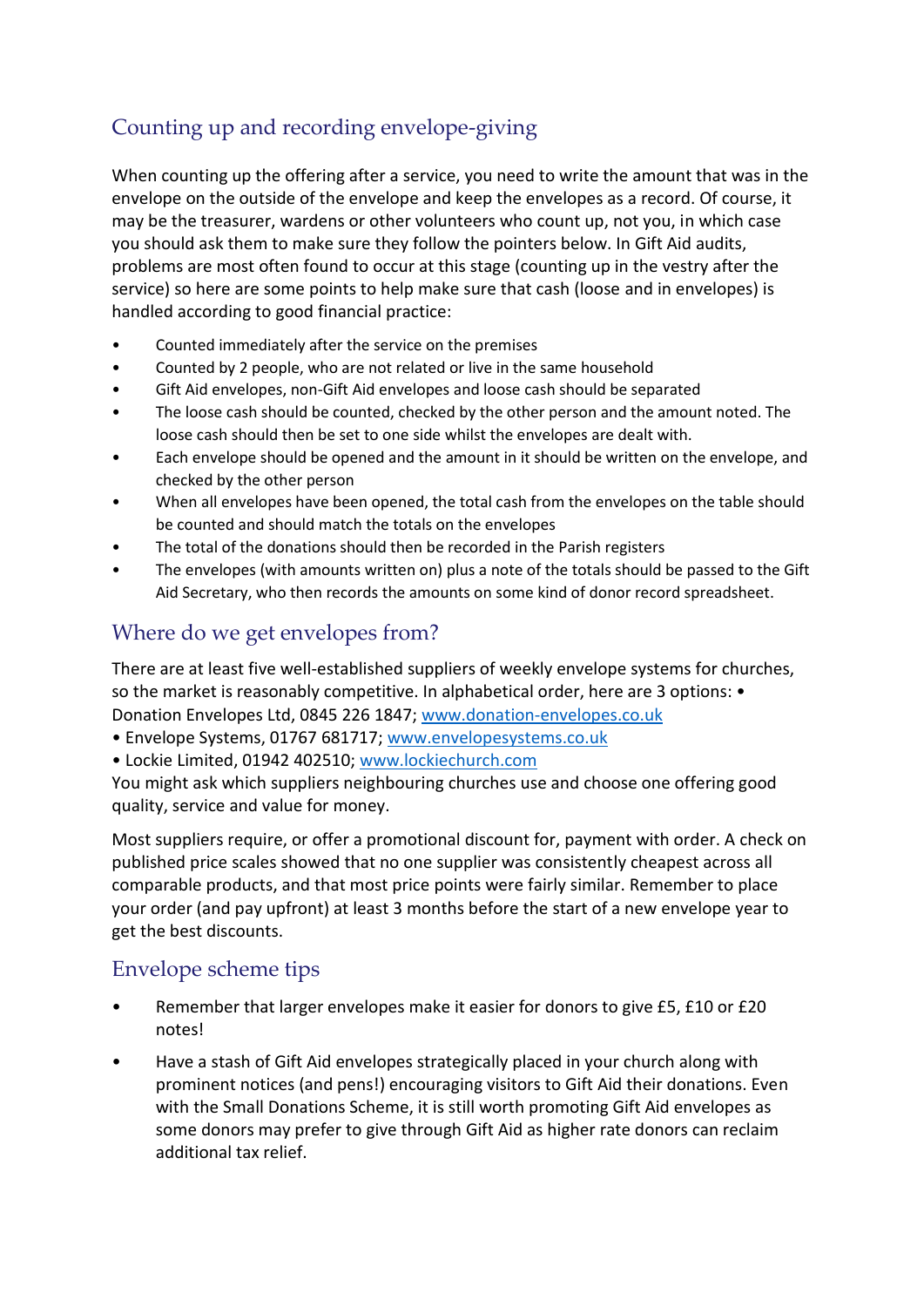## Counting up and recording envelope-giving

When counting up the offering after a service, you need to write the amount that was in the envelope on the outside of the envelope and keep the envelopes as a record. Of course, it may be the treasurer, wardens or other volunteers who count up, not you, in which case you should ask them to make sure they follow the pointers below. In Gift Aid audits, problems are most often found to occur at this stage (counting up in the vestry after the service) so here are some points to help make sure that cash (loose and in envelopes) is handled according to good financial practice:

- Counted immediately after the service on the premises
- Counted by 2 people, who are not related or live in the same household
- Gift Aid envelopes, non-Gift Aid envelopes and loose cash should be separated
- The loose cash should be counted, checked by the other person and the amount noted. The loose cash should then be set to one side whilst the envelopes are dealt with.
- Each envelope should be opened and the amount in it should be written on the envelope, and checked by the other person
- When all envelopes have been opened, the total cash from the envelopes on the table should be counted and should match the totals on the envelopes
- The total of the donations should then be recorded in the Parish registers
- The envelopes (with amounts written on) plus a note of the totals should be passed to the Gift Aid Secretary, who then records the amounts on some kind of donor record spreadsheet.

#### Where do we get envelopes from?

There are at least five well-established suppliers of weekly envelope systems for churches, so the market is reasonably competitive. In alphabetical order, here are 3 options: • Donation Envelopes Ltd, 0845 226 1847; [www.donation-envelopes.co.uk](http://www.donation-envelopes.co.uk/)

- Envelope Systems, 01767 681717; [www.envelopesystems.co.uk](http://www.envelopesystems.co.uk/)
- Lockie Limited, 01942 402510; [www.lockiechurch.com](http://www.lockiechurch.com/)

You might ask which suppliers neighbouring churches use and choose one offering good quality, service and value for money.

Most suppliers require, or offer a promotional discount for, payment with order. A check on published price scales showed that no one supplier was consistently cheapest across all comparable products, and that most price points were fairly similar. Remember to place your order (and pay upfront) at least 3 months before the start of a new envelope year to get the best discounts.

#### Envelope scheme tips

- Remember that larger envelopes make it easier for donors to give £5, £10 or £20 notes!
- Have a stash of Gift Aid envelopes strategically placed in your church along with prominent notices (and pens!) encouraging visitors to Gift Aid their donations. Even with the Small Donations Scheme, it is still worth promoting Gift Aid envelopes as some donors may prefer to give through Gift Aid as higher rate donors can reclaim additional tax relief.